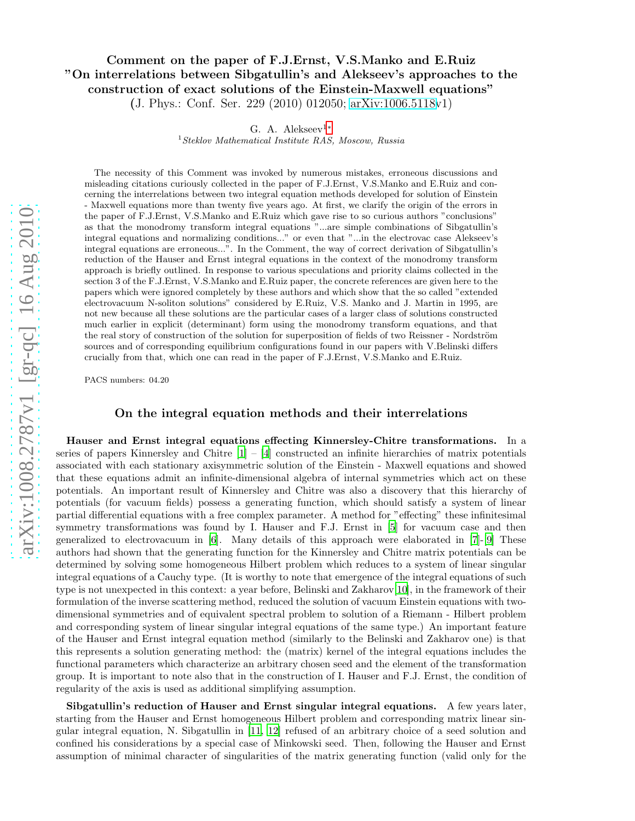# arXiv:1008.2787v1 [gr-qc] 16 Aug 2010 [arXiv:1008.2787v1 \[gr-qc\] 16 Aug 2010](http://arxiv.org/abs/1008.2787v1)

# Comment on the paper of F.J.Ernst, V.S.Manko and E.Ruiz "On interrelations between Sibgatullin's and Alekseev's approaches to the construction of exact solutions of the Einstein-Maxwell equations" (J. Phys.: Conf. Ser. 229 (2010) 012050; [arXiv:1006.5118v](http://arxiv.org/abs/1006.5118)1)

G. A. Alekseev<sup>1\*</sup>

 $1$ Steklov Mathematical Institute RAS, Moscow, Russia

The necessity of this Comment was invoked by numerous mistakes, erroneous discussions and misleading citations curiously collected in the paper of F.J.Ernst, V.S.Manko and E.Ruiz and concerning the interrelations between two integral equation methods developed for solution of Einstein - Maxwell equations more than twenty five years ago. At first, we clarify the origin of the errors in the paper of F.J.Ernst, V.S.Manko and E.Ruiz which gave rise to so curious authors "conclusions" as that the monodromy transform integral equations "...are simple combinations of Sibgatullin's integral equations and normalizing conditions..." or even that "...in the electrovac case Alekseev's integral equations are erroneous...". In the Comment, the way of correct derivation of Sibgatullin's reduction of the Hauser and Ernst integral equations in the context of the monodromy transform approach is briefly outlined. In response to various speculations and priority claims collected in the section 3 of the F.J.Ernst, V.S.Manko and E.Ruiz paper, the concrete references are given here to the papers which were ignored completely by these authors and which show that the so called "extended electrovacuum N-soliton solutions" considered by E.Ruiz, V.S. Manko and J. Martin in 1995, are not new because all these solutions are the particular cases of a larger class of solutions constructed much earlier in explicit (determinant) form using the monodromy transform equations, and that the real story of construction of the solution for superposition of fields of two Reissner - Nordström sources and of corresponding equilibrium configurations found in our papers with V.Belinski differs crucially from that, which one can read in the paper of F.J.Ernst, V.S.Manko and E.Ruiz.

PACS numbers: 04.20

# On the integral equation methods and their interrelations

Hauser and Ernst integral equations effecting Kinnersley-Chitre transformations. In a series of papers Kinnersley and Chitre  $[1] - [4]$  $[1] - [4]$  $[1] - [4]$  constructed an infinite hierarchies of matrix potentials associated with each stationary axisymmetric solution of the Einstein - Maxwell equations and showed that these equations admit an infinite-dimensional algebra of internal symmetries which act on these potentials. An important result of Kinnersley and Chitre was also a discovery that this hierarchy of potentials (for vacuum fields) possess a generating function, which should satisfy a system of linear partial differential equations with a free complex parameter. A method for "effecting" these infinitesimal symmetry transformations was found by I. Hauser and F.J. Ernst in [\[5](#page-9-3)] for vacuum case and then generalized to electrovacuum in [\[6\]](#page-9-4). Many details of this approach were elaborated in [\[7\]](#page-9-5)-[\[9](#page-9-6)] These authors had shown that the generating function for the Kinnersley and Chitre matrix potentials can be determined by solving some homogeneous Hilbert problem which reduces to a system of linear singular integral equations of a Cauchy type. (It is worthy to note that emergence of the integral equations of such type is not unexpected in this context: a year before, Belinski and Zakharov[\[10\]](#page-9-7), in the framework of their formulation of the inverse scattering method, reduced the solution of vacuum Einstein equations with twodimensional symmetries and of equivalent spectral problem to solution of a Riemann - Hilbert problem and corresponding system of linear singular integral equations of the same type.) An important feature of the Hauser and Ernst integral equation method (similarly to the Belinski and Zakharov one) is that this represents a solution generating method: the (matrix) kernel of the integral equations includes the functional parameters which characterize an arbitrary chosen seed and the element of the transformation group. It is important to note also that in the construction of I. Hauser and F.J. Ernst, the condition of regularity of the axis is used as additional simplifying assumption.

Sibgatullin's reduction of Hauser and Ernst singular integral equations. A few years later, starting from the Hauser and Ernst homogeneous Hilbert problem and corresponding matrix linear singular integral equation, N. Sibgatullin in [\[11,](#page-9-8) [12\]](#page-9-9) refused of an arbitrary choice of a seed solution and confined his considerations by a special case of Minkowski seed. Then, following the Hauser and Ernst assumption of minimal character of singularities of the matrix generating function (valid only for the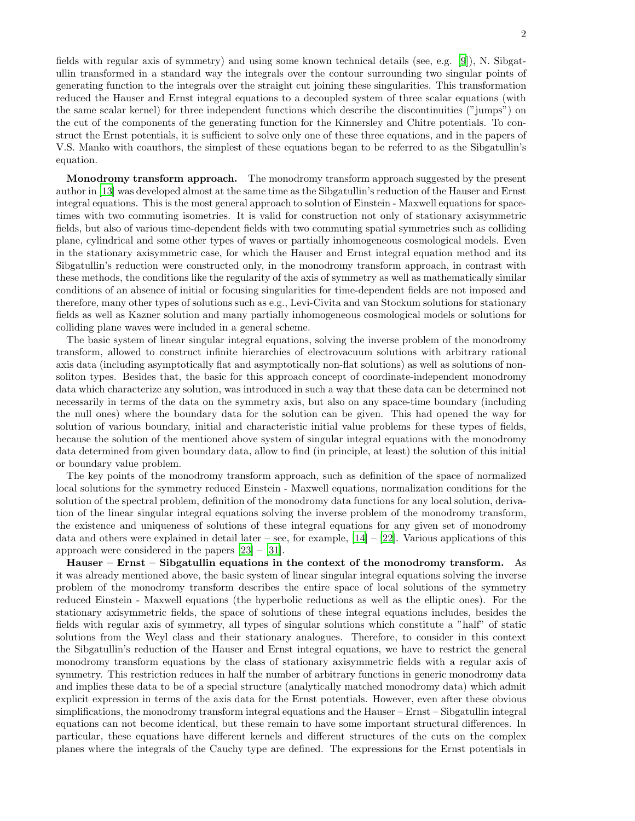fields with regular axis of symmetry) and using some known technical details (see, e.g. [\[9\]](#page-9-6)), N. Sibgatullin transformed in a standard way the integrals over the contour surrounding two singular points of generating function to the integrals over the straight cut joining these singularities. This transformation reduced the Hauser and Ernst integral equations to a decoupled system of three scalar equations (with the same scalar kernel) for three independent functions which describe the discontinuities ("jumps") on the cut of the components of the generating function for the Kinnersley and Chitre potentials. To construct the Ernst potentials, it is sufficient to solve only one of these three equations, and in the papers of V.S. Manko with coauthors, the simplest of these equations began to be referred to as the Sibgatullin's equation.

Monodromy transform approach. The monodromy transform approach suggested by the present author in [\[13](#page-9-10)] was developed almost at the same time as the Sibgatullin's reduction of the Hauser and Ernst integral equations. This is the most general approach to solution of Einstein - Maxwell equations for spacetimes with two commuting isometries. It is valid for construction not only of stationary axisymmetric fields, but also of various time-dependent fields with two commuting spatial symmetries such as colliding plane, cylindrical and some other types of waves or partially inhomogeneous cosmological models. Even in the stationary axisymmetric case, for which the Hauser and Ernst integral equation method and its Sibgatullin's reduction were constructed only, in the monodromy transform approach, in contrast with these methods, the conditions like the regularity of the axis of symmetry as well as mathematically similar conditions of an absence of initial or focusing singularities for time-dependent fields are not imposed and therefore, many other types of solutions such as e.g., Levi-Civita and van Stockum solutions for stationary fields as well as Kazner solution and many partially inhomogeneous cosmological models or solutions for colliding plane waves were included in a general scheme.

The basic system of linear singular integral equations, solving the inverse problem of the monodromy transform, allowed to construct infinite hierarchies of electrovacuum solutions with arbitrary rational axis data (including asymptotically flat and asymptotically non-flat solutions) as well as solutions of nonsoliton types. Besides that, the basic for this approach concept of coordinate-independent monodromy data which characterize any solution, was introduced in such a way that these data can be determined not necessarily in terms of the data on the symmetry axis, but also on any space-time boundary (including the null ones) where the boundary data for the solution can be given. This had opened the way for solution of various boundary, initial and characteristic initial value problems for these types of fields, because the solution of the mentioned above system of singular integral equations with the monodromy data determined from given boundary data, allow to find (in principle, at least) the solution of this initial or boundary value problem.

The key points of the monodromy transform approach, such as definition of the space of normalized local solutions for the symmetry reduced Einstein - Maxwell equations, normalization conditions for the solution of the spectral problem, definition of the monodromy data functions for any local solution, derivation of the linear singular integral equations solving the inverse problem of the monodromy transform, the existence and uniqueness of solutions of these integral equations for any given set of monodromy data and others were explained in detail later – see, for example,  $[14] - [22]$  $[14] - [22]$ . Various applications of this approach were considered in the papers [\[23](#page-9-13)] – [\[31](#page-10-0)].

Hauser – Ernst – Sibgatullin equations in the context of the monodromy transform. As it was already mentioned above, the basic system of linear singular integral equations solving the inverse problem of the monodromy transform describes the entire space of local solutions of the symmetry reduced Einstein - Maxwell equations (the hyperbolic reductions as well as the elliptic ones). For the stationary axisymmetric fields, the space of solutions of these integral equations includes, besides the fields with regular axis of symmetry, all types of singular solutions which constitute a "half" of static solutions from the Weyl class and their stationary analogues. Therefore, to consider in this context the Sibgatullin's reduction of the Hauser and Ernst integral equations, we have to restrict the general monodromy transform equations by the class of stationary axisymmetric fields with a regular axis of symmetry. This restriction reduces in half the number of arbitrary functions in generic monodromy data and implies these data to be of a special structure (analytically matched monodromy data) which admit explicit expression in terms of the axis data for the Ernst potentials. However, even after these obvious simplifications, the monodromy transform integral equations and the Hauser – Ernst – Sibgatullin integral equations can not become identical, but these remain to have some important structural differences. In particular, these equations have different kernels and different structures of the cuts on the complex planes where the integrals of the Cauchy type are defined. The expressions for the Ernst potentials in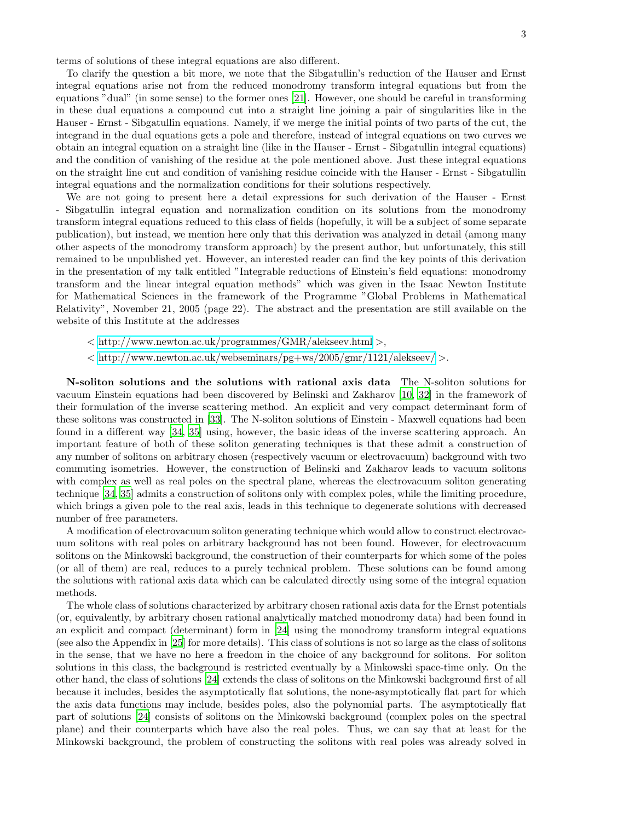terms of solutions of these integral equations are also different.

To clarify the question a bit more, we note that the Sibgatullin's reduction of the Hauser and Ernst integral equations arise not from the reduced monodromy transform integral equations but from the equations "dual" (in some sense) to the former ones [\[21\]](#page-9-14). However, one should be careful in transforming in these dual equations a compound cut into a straight line joining a pair of singularities like in the Hauser - Ernst - Sibgatullin equations. Namely, if we merge the initial points of two parts of the cut, the integrand in the dual equations gets a pole and therefore, instead of integral equations on two curves we obtain an integral equation on a straight line (like in the Hauser - Ernst - Sibgatullin integral equations) and the condition of vanishing of the residue at the pole mentioned above. Just these integral equations on the straight line cut and condition of vanishing residue coincide with the Hauser - Ernst - Sibgatullin integral equations and the normalization conditions for their solutions respectively.

We are not going to present here a detail expressions for such derivation of the Hauser - Ernst - Sibgatullin integral equation and normalization condition on its solutions from the monodromy transform integral equations reduced to this class of fields (hopefully, it will be a subject of some separate publication), but instead, we mention here only that this derivation was analyzed in detail (among many other aspects of the monodromy transform approach) by the present author, but unfortunately, this still remained to be unpublished yet. However, an interested reader can find the key points of this derivation in the presentation of my talk entitled "Integrable reductions of Einstein's field equations: monodromy transform and the linear integral equation methods" which was given in the Isaac Newton Institute for Mathematical Sciences in the framework of the Programme "Global Problems in Mathematical Relativity", November 21, 2005 (page 22). The abstract and the presentation are still available on the website of this Institute at the addresses

- < <http://www.newton.ac.uk/programmes/GMR/alekseev.html> >,
- $\langle \text{http://www.newton.ac.uk/webseminars/pg+ws/2005/gmr/1121/alekseev/}\rangle.$  $\langle \text{http://www.newton.ac.uk/webseminars/pg+ws/2005/gmr/1121/alekseev/}\rangle.$  $\langle \text{http://www.newton.ac.uk/webseminars/pg+ws/2005/gmr/1121/alekseev/}\rangle.$

N-soliton solutions and the solutions with rational axis data The N-soliton solutions for vacuum Einstein equations had been discovered by Belinski and Zakharov [\[10](#page-9-7), [32\]](#page-10-1) in the framework of their formulation of the inverse scattering method. An explicit and very compact determinant form of these solitons was constructed in [\[33\]](#page-10-2). The N-soliton solutions of Einstein - Maxwell equations had been found in a different way [\[34,](#page-10-3) [35](#page-10-4)] using, however, the basic ideas of the inverse scattering approach. An important feature of both of these soliton generating techniques is that these admit a construction of any number of solitons on arbitrary chosen (respectively vacuum or electrovacuum) background with two commuting isometries. However, the construction of Belinski and Zakharov leads to vacuum solitons with complex as well as real poles on the spectral plane, whereas the electrovacuum soliton generating technique [\[34,](#page-10-3) [35](#page-10-4)] admits a construction of solitons only with complex poles, while the limiting procedure, which brings a given pole to the real axis, leads in this technique to degenerate solutions with decreased number of free parameters.

A modification of electrovacuum soliton generating technique which would allow to construct electrovacuum solitons with real poles on arbitrary background has not been found. However, for electrovacuum solitons on the Minkowski background, the construction of their counterparts for which some of the poles (or all of them) are real, reduces to a purely technical problem. These solutions can be found among the solutions with rational axis data which can be calculated directly using some of the integral equation methods.

The whole class of solutions characterized by arbitrary chosen rational axis data for the Ernst potentials (or, equivalently, by arbitrary chosen rational analytically matched monodromy data) had been found in an explicit and compact (determinant) form in [\[24](#page-9-15)] using the monodromy transform integral equations (see also the Appendix in [\[25](#page-9-16)] for more details). This class of solutions is not so large as the class of solitons in the sense, that we have no here a freedom in the choice of any background for solitons. For soliton solutions in this class, the background is restricted eventually by a Minkowski space-time only. On the other hand, the class of solutions [\[24\]](#page-9-15) extends the class of solitons on the Minkowski background first of all because it includes, besides the asymptotically flat solutions, the none-asymptotically flat part for which the axis data functions may include, besides poles, also the polynomial parts. The asymptotically flat part of solutions [\[24](#page-9-15)] consists of solitons on the Minkowski background (complex poles on the spectral plane) and their counterparts which have also the real poles. Thus, we can say that at least for the Minkowski background, the problem of constructing the solitons with real poles was already solved in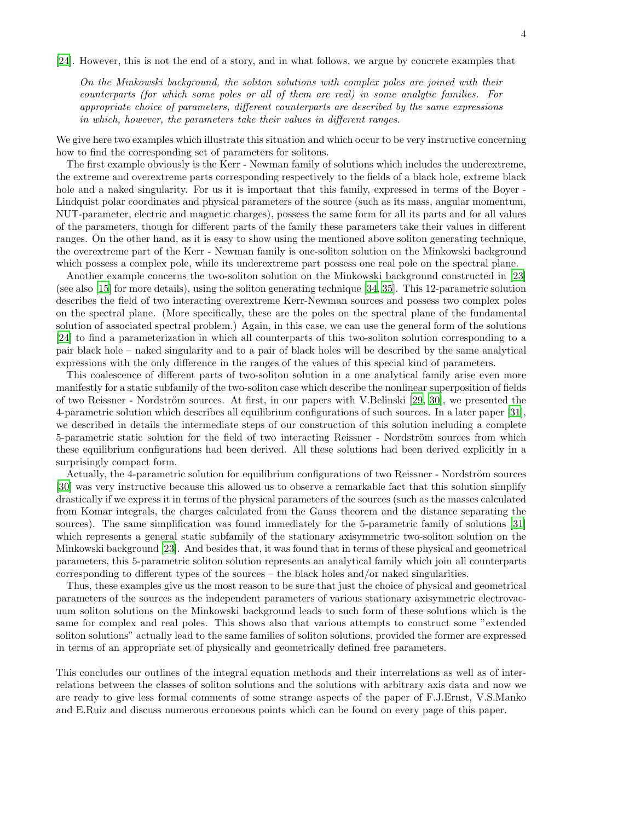[\[24\]](#page-9-15). However, this is not the end of a story, and in what follows, we argue by concrete examples that

On the Minkowski background, the soliton solutions with complex poles are joined with their counterparts (for which some poles or all of them are real) in some analytic families. For appropriate choice of parameters, different counterparts are described by the same expressions in which, however, the parameters take their values in different ranges.

We give here two examples which illustrate this situation and which occur to be very instructive concerning how to find the corresponding set of parameters for solitons.

The first example obviously is the Kerr - Newman family of solutions which includes the underextreme, the extreme and overextreme parts corresponding respectively to the fields of a black hole, extreme black hole and a naked singularity. For us it is important that this family, expressed in terms of the Boyer -Lindquist polar coordinates and physical parameters of the source (such as its mass, angular momentum, NUT-parameter, electric and magnetic charges), possess the same form for all its parts and for all values of the parameters, though for different parts of the family these parameters take their values in different ranges. On the other hand, as it is easy to show using the mentioned above soliton generating technique, the overextreme part of the Kerr - Newman family is one-soliton solution on the Minkowski background which possess a complex pole, while its underextreme part possess one real pole on the spectral plane.

Another example concerns the two-soliton solution on the Minkowski background constructed in [\[23\]](#page-9-13) (see also [\[15\]](#page-9-17) for more details), using the soliton generating technique [\[34,](#page-10-3) [35\]](#page-10-4). This 12-parametric solution describes the field of two interacting overextreme Kerr-Newman sources and possess two complex poles on the spectral plane. (More specifically, these are the poles on the spectral plane of the fundamental solution of associated spectral problem.) Again, in this case, we can use the general form of the solutions [\[24\]](#page-9-15) to find a parameterization in which all counterparts of this two-soliton solution corresponding to a pair black hole – naked singularity and to a pair of black holes will be described by the same analytical expressions with the only difference in the ranges of the values of this special kind of parameters.

This coalescence of different parts of two-soliton solution in a one analytical family arise even more manifestly for a static subfamily of the two-soliton case which describe the nonlinear superposition of fields of two Reissner - Nordström sources. At first, in our papers with V.Belinski  $[29, 30]$  $[29, 30]$  $[29, 30]$ , we presented the 4-parametric solution which describes all equilibrium configurations of such sources. In a later paper [\[31\]](#page-10-0), we described in details the intermediate steps of our construction of this solution including a complete 5-parametric static solution for the field of two interacting Reissner - Nordström sources from which these equilibrium configurations had been derived. All these solutions had been derived explicitly in a surprisingly compact form.

Actually, the 4-parametric solution for equilibrium configurations of two Reissner - Nordström sources [\[30\]](#page-10-6) was very instructive because this allowed us to observe a remarkable fact that this solution simplify drastically if we express it in terms of the physical parameters of the sources (such as the masses calculated from Komar integrals, the charges calculated from the Gauss theorem and the distance separating the sources). The same simplification was found immediately for the 5-parametric family of solutions [\[31\]](#page-10-0) which represents a general static subfamily of the stationary axisymmetric two-soliton solution on the Minkowski background [\[23\]](#page-9-13). And besides that, it was found that in terms of these physical and geometrical parameters, this 5-parametric soliton solution represents an analytical family which join all counterparts corresponding to different types of the sources – the black holes and/or naked singularities.

Thus, these examples give us the most reason to be sure that just the choice of physical and geometrical parameters of the sources as the independent parameters of various stationary axisymmetric electrovacuum soliton solutions on the Minkowski background leads to such form of these solutions which is the same for complex and real poles. This shows also that various attempts to construct some "extended soliton solutions" actually lead to the same families of soliton solutions, provided the former are expressed in terms of an appropriate set of physically and geometrically defined free parameters.

This concludes our outlines of the integral equation methods and their interrelations as well as of interrelations between the classes of soliton solutions and the solutions with arbitrary axis data and now we are ready to give less formal comments of some strange aspects of the paper of F.J.Ernst, V.S.Manko and E.Ruiz and discuss numerous erroneous points which can be found on every page of this paper.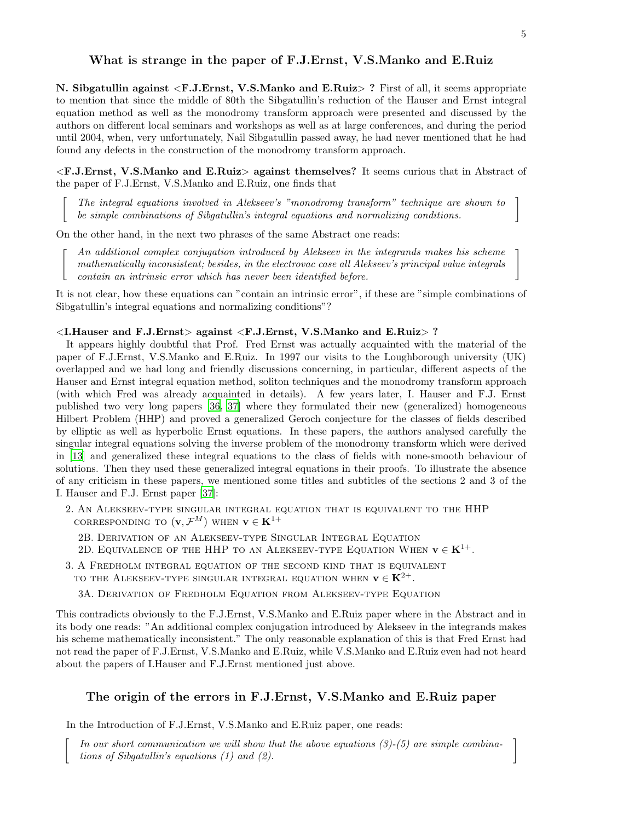## What is strange in the paper of F.J.Ernst, V.S.Manko and E.Ruiz

N. Sibgatullin against <F.J.Ernst, V.S.Manko and E.Ruiz> ? First of all, it seems appropriate to mention that since the middle of 80th the Sibgatullin's reduction of the Hauser and Ernst integral equation method as well as the monodromy transform approach were presented and discussed by the authors on different local seminars and workshops as well as at large conferences, and during the period until 2004, when, very unfortunately, Nail Sibgatullin passed away, he had never mentioned that he had found any defects in the construction of the monodromy transform approach.

<F.J.Ernst, V.S.Manko and E.Ruiz> against themselves? It seems curious that in Abstract of the paper of F.J.Ernst, V.S.Manko and E.Ruiz, one finds that

The integral equations involved in Alekseev's "monodromy transform" technique are shown to be simple combinations of Sibgatullin's integral equations and normalizing conditions.

On the other hand, in the next two phrases of the same Abstract one reads:

 $\lceil$ 

 $\lceil$ 

An additional complex conjugation introduced by Alekseev in the integrands makes his scheme mathematically inconsistent; besides, in the electrovac case all Alekseev's principal value integrals An additional complex conjugation introduced by Alekseev in the integrands makes his scheme<br>mathematically inconsistent; besides, in the electrovac case all Alekseev's principal value integrals<br>contain an intrinsic error

It is not clear, how these equations can "contain an intrinsic error", if these are "simple combinations of Sibgatullin's integral equations and normalizing conditions"?

### <I.Hauser and F.J.Ernst> against <F.J.Ernst, V.S.Manko and E.Ruiz> ?

It appears highly doubtful that Prof. Fred Ernst was actually acquainted with the material of the paper of F.J.Ernst, V.S.Manko and E.Ruiz. In 1997 our visits to the Loughborough university (UK) overlapped and we had long and friendly discussions concerning, in particular, different aspects of the Hauser and Ernst integral equation method, soliton techniques and the monodromy transform approach (with which Fred was already acquainted in details). A few years later, I. Hauser and F.J. Ernst published two very long papers [\[36](#page-10-7), [37\]](#page-10-8) where they formulated their new (generalized) homogeneous Hilbert Problem (HHP) and proved a generalized Geroch conjecture for the classes of fields described by elliptic as well as hyperbolic Ernst equations. In these papers, the authors analysed carefully the singular integral equations solving the inverse problem of the monodromy transform which were derived in [\[13\]](#page-9-10) and generalized these integral equations to the class of fields with none-smooth behaviour of solutions. Then they used these generalized integral equations in their proofs. To illustrate the absence of any criticism in these papers, we mentioned some titles and subtitles of the sections 2 and 3 of the I. Hauser and F.J. Ernst paper [\[37](#page-10-8)]:

2. An Alekseev-type singular integral equation that is equivalent to the HHP CORRESPONDING TO  $(\mathbf{v}, \mathcal{F}^M)$  when  $\mathbf{v} \in \mathbf{K}^{1+}$ 

- 2B. Derivation of an Alekseev-type Singular Integral Equation
- 2D. EQUIVALENCE OF THE HHP TO AN ALEKSEEV-TYPE EQUATION WHEN  $\mathbf{v} \in \mathbf{K}^{1+}$ .
- 3. A Fredholm integral equation of the second kind that is equivalent TO THE ALEKSEEV-TYPE SINGULAR INTEGRAL EQUATION WHEN  $\mathbf{v} \in \mathbf{K}^{2+}$ .

3A. Derivation of Fredholm Equation from Alekseev-type Equation

This contradicts obviously to the F.J.Ernst, V.S.Manko and E.Ruiz paper where in the Abstract and in its body one reads: "An additional complex conjugation introduced by Alekseev in the integrands makes his scheme mathematically inconsistent." The only reasonable explanation of this is that Fred Ernst had not read the paper of F.J.Ernst, V.S.Manko and E.Ruiz, while V.S.Manko and E.Ruiz even had not heard about the papers of I.Hauser and F.J.Ernst mentioned just above.

### The origin of the errors in F.J.Ernst, V.S.Manko and E.Ruiz paper

In the Introduction of F.J.Ernst, V.S.Manko and E.Ruiz paper, one reads:

In our short communication we will show that the above equations  $(3)-(5)$  are simple combinations of Sibgatullin's equations  $(1)$  and  $(2)$ .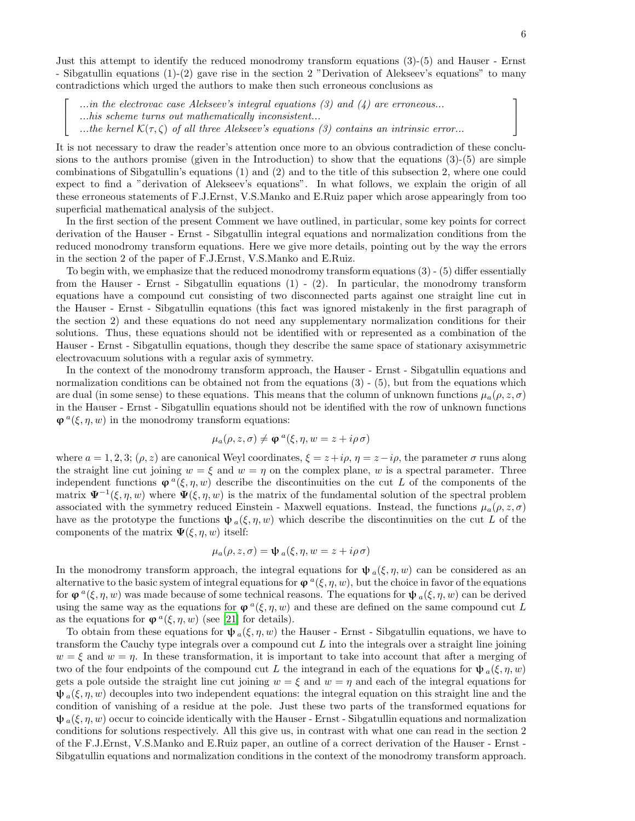Just this attempt to identify the reduced monodromy transform equations (3)-(5) and Hauser - Ernst - Sibgatullin equations (1)-(2) gave rise in the section 2 "Derivation of Alekseev's equations" to many contradictions which urged the authors to make then such erroneous conclusions as

...in the electrovac case Alekseev's integral equations  $(3)$  and  $(4)$  are erroneous...  $\dots$  his scheme turns out mathematically inconsistent...

 $\lceil$  $\overline{1}$ 

...the kernel  $\mathcal{K}(\tau,\zeta)$  of all three Alekseev's equations (3) contains an intrinsic error...

It is not necessary to draw the reader's attention once more to an obvious contradiction of these conclusions to the authors promise (given in the Introduction) to show that the equations  $(3)-(5)$  are simple combinations of Sibgatullin's equations (1) and (2) and to the title of this subsection 2, where one could expect to find a "derivation of Alekseev's equations". In what follows, we explain the origin of all these erroneous statements of F.J.Ernst, V.S.Manko and E.Ruiz paper which arose appearingly from too superficial mathematical analysis of the subject.

In the first section of the present Comment we have outlined, in particular, some key points for correct derivation of the Hauser - Ernst - Sibgatullin integral equations and normalization conditions from the reduced monodromy transform equations. Here we give more details, pointing out by the way the errors in the section 2 of the paper of F.J.Ernst, V.S.Manko and E.Ruiz.

To begin with, we emphasize that the reduced monodromy transform equations (3) - (5) differ essentially from the Hauser - Ernst - Sibgatullin equations (1) - (2). In particular, the monodromy transform equations have a compound cut consisting of two disconnected parts against one straight line cut in the Hauser - Ernst - Sibgatullin equations (this fact was ignored mistakenly in the first paragraph of the section 2) and these equations do not need any supplementary normalization conditions for their solutions. Thus, these equations should not be identified with or represented as a combination of the Hauser - Ernst - Sibgatullin equations, though they describe the same space of stationary axisymmetric electrovacuum solutions with a regular axis of symmetry.

In the context of the monodromy transform approach, the Hauser - Ernst - Sibgatullin equations and normalization conditions can be obtained not from the equations  $(3)$  -  $(5)$ , but from the equations which are dual (in some sense) to these equations. This means that the column of unknown functions  $\mu_a(\rho, z, \sigma)$ in the Hauser - Ernst - Sibgatullin equations should not be identified with the row of unknown functions  $\varphi^a(\xi, \eta, w)$  in the monodromy transform equations:

$$
\mu_a(\rho, z, \sigma) \neq \varphi^a(\xi, \eta, w = z + i\rho \sigma)
$$

where  $a = 1, 2, 3$ ;  $(\rho, z)$  are canonical Weyl coordinates,  $\xi = z + i\rho$ ,  $\eta = z - i\rho$ , the parameter  $\sigma$  runs along the straight line cut joining  $w = \xi$  and  $w = \eta$  on the complex plane, w is a spectral parameter. Three independent functions  $\varphi^a(\xi, \eta, w)$  describe the discontinuities on the cut L of the components of the matrix  $\Psi^{-1}(\xi, \eta, w)$  where  $\Psi(\xi, \eta, w)$  is the matrix of the fundamental solution of the spectral problem associated with the symmetry reduced Einstein - Maxwell equations. Instead, the functions  $\mu_a(\rho, z, \sigma)$ have as the prototype the functions  $\psi_a(\xi, \eta, w)$  which describe the discontinuities on the cut L of the components of the matrix  $\Psi(\xi, \eta, w)$  itself:

$$
\mu_a(\rho, z, \sigma) = \psi_a(\xi, \eta, w = z + i\rho \sigma)
$$

In the monodromy transform approach, the integral equations for  $\psi_a(\xi, \eta, w)$  can be considered as an alternative to the basic system of integral equations for  $\varphi^a(\xi, \eta, w)$ , but the choice in favor of the equations for  $\varphi^a(\xi, \eta, w)$  was made because of some technical reasons. The equations for  $\psi_a(\xi, \eta, w)$  can be derived using the same way as the equations for  $\varphi^a(\xi, \eta, w)$  and these are defined on the same compound cut L as the equations for  $\varphi^a(\xi, \eta, w)$  (see [\[21\]](#page-9-14) for details).

To obtain from these equations for  $\psi_a(\xi, \eta, w)$  the Hauser - Ernst - Sibgatullin equations, we have to transform the Cauchy type integrals over a compound cut L into the integrals over a straight line joining  $w = \xi$  and  $w = \eta$ . In these transformation, it is important to take into account that after a merging of two of the four endpoints of the compound cut L the integrand in each of the equations for  $\psi_a(\xi, \eta, w)$ gets a pole outside the straight line cut joining  $w = \xi$  and  $w = \eta$  and each of the integral equations for  $\psi_a(\xi, \eta, w)$  decouples into two independent equations: the integral equation on this straight line and the condition of vanishing of a residue at the pole. Just these two parts of the transformed equations for  $\psi_a(\xi, \eta, w)$  occur to coincide identically with the Hauser - Ernst - Sibgatullin equations and normalization conditions for solutions respectively. All this give us, in contrast with what one can read in the section 2 of the F.J.Ernst, V.S.Manko and E.Ruiz paper, an outline of a correct derivation of the Hauser - Ernst - Sibgatullin equations and normalization conditions in the context of the monodromy transform approach.

1  $\overline{1}$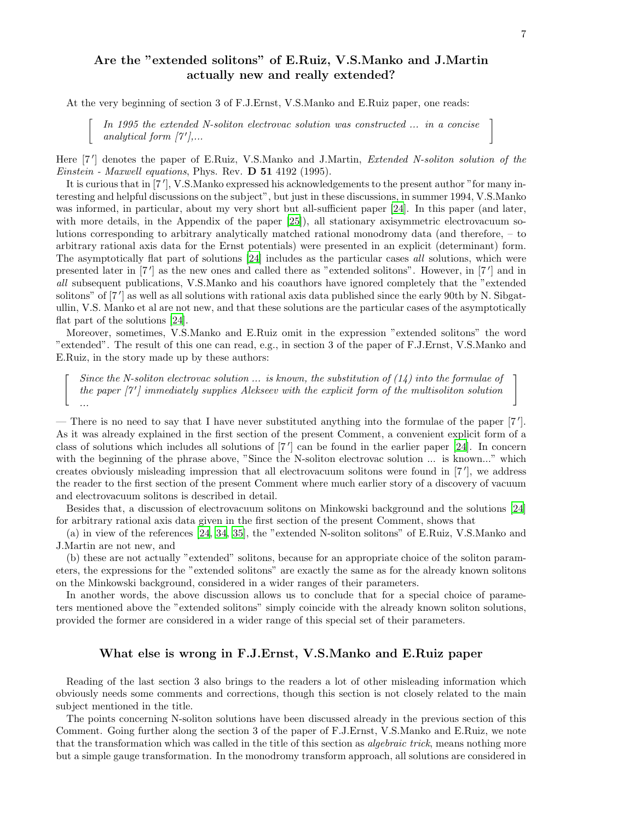# Are the "extended solitons" of E.Ruiz, V.S.Manko and J.Martin actually new and really extended?

At the very beginning of section 3 of F.J.Ernst, V.S.Manko and E.Ruiz paper, one reads:

ſ

In 1995 the extended N-soliton electrovac solution was constructed ... in a concise In 1995 the extended N-soliton electrovac solution was constructed ... in a concise analytical form  $[7'$ ,...

Here [7'] denotes the paper of E.Ruiz, V.S.Manko and J.Martin, *Extended N-soliton solution of the* Einstein - Maxwell equations, Phys. Rev. D 51 4192 (1995).

It is curious that in [7'], V.S.Manko expressed his acknowledgements to the present author "for many interesting and helpful discussions on the subject", but just in these discussions, in summer 1994, V.S.Manko was informed, in particular, about my very short but all-sufficient paper [\[24](#page-9-15)]. In this paper (and later, with more details, in the Appendix of the paper [\[25](#page-9-16)]), all stationary axisymmetric electrovacuum solutions corresponding to arbitrary analytically matched rational monodromy data (and therefore, – to arbitrary rational axis data for the Ernst potentials) were presented in an explicit (determinant) form. The asymptotically flat part of solutions [\[24\]](#page-9-15) includes as the particular cases all solutions, which were presented later in [7'] as the new ones and called there as "extended solitons". However, in [7'] and in all subsequent publications, V.S.Manko and his coauthors have ignored completely that the "extended solitons" of [7'] as well as all solutions with rational axis data published since the early 90th by N. Sibgatullin, V.S. Manko et al are not new, and that these solutions are the particular cases of the asymptotically flat part of the solutions [\[24](#page-9-15)].

Moreover, sometimes, V.S.Manko and E.Ruiz omit in the expression "extended solitons" the word "extended". The result of this one can read, e.g., in section 3 of the paper of F.J.Ernst, V.S.Manko and E.Ruiz, in the story made up by these authors:

 $\lceil$ Since the N-soliton electrovac solution  $\ldots$  is known, the substitution of (14) into the formulae of the paper  $\lceil 7' \rceil$  immediately supplies Alekseev with the explicit form of the multisoliton solution ...

— There is no need to say that I have never substituted anything into the formulae of the paper [7 ′ ]. As it was already explained in the first section of the present Comment, a convenient explicit form of a class of solutions which includes all solutions of [7'] can be found in the earlier paper [\[24\]](#page-9-15). In concern with the beginning of the phrase above, "Since the N-soliton electrovac solution ... is known..." which creates obviously misleading impression that all electrovacuum solitons were found in [7 ′ ], we address the reader to the first section of the present Comment where much earlier story of a discovery of vacuum and electrovacuum solitons is described in detail.

Besides that, a discussion of electrovacuum solitons on Minkowski background and the solutions [\[24\]](#page-9-15) for arbitrary rational axis data given in the first section of the present Comment, shows that

(a) in view of the references [\[24](#page-9-15), [34,](#page-10-3) [35\]](#page-10-4), the "extended N-soliton solitons" of E.Ruiz, V.S.Manko and J.Martin are not new, and

(b) these are not actually "extended" solitons, because for an appropriate choice of the soliton parameters, the expressions for the "extended solitons" are exactly the same as for the already known solitons on the Minkowski background, considered in a wider ranges of their parameters.

In another words, the above discussion allows us to conclude that for a special choice of parameters mentioned above the "extended solitons" simply coincide with the already known soliton solutions, provided the former are considered in a wider range of this special set of their parameters.

### What else is wrong in F.J.Ernst, V.S.Manko and E.Ruiz paper

Reading of the last section 3 also brings to the readers a lot of other misleading information which obviously needs some comments and corrections, though this section is not closely related to the main subject mentioned in the title.

The points concerning N-soliton solutions have been discussed already in the previous section of this Comment. Going further along the section 3 of the paper of F.J.Ernst, V.S.Manko and E.Ruiz, we note that the transformation which was called in the title of this section as *algebraic trick*, means nothing more but a simple gauge transformation. In the monodromy transform approach, all solutions are considered in

1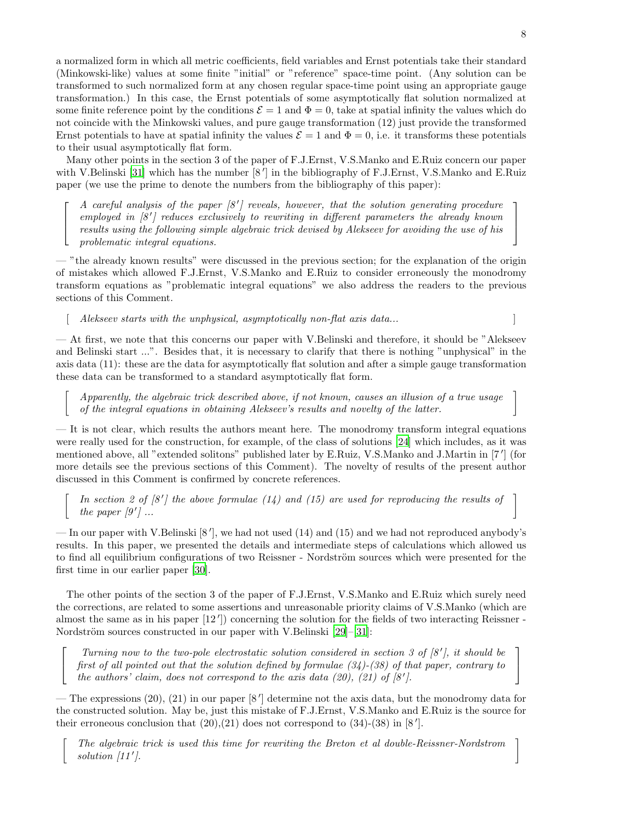a normalized form in which all metric coefficients, field variables and Ernst potentials take their standard (Minkowski-like) values at some finite "initial" or "reference" space-time point. (Any solution can be transformed to such normalized form at any chosen regular space-time point using an appropriate gauge transformation.) In this case, the Ernst potentials of some asymptotically flat solution normalized at some finite reference point by the conditions  $\mathcal{E} = 1$  and  $\Phi = 0$ , take at spatial infinity the values which do not coincide with the Minkowski values, and pure gauge transformation (12) just provide the transformed Ernst potentials to have at spatial infinity the values  $\mathcal{E} = 1$  and  $\Phi = 0$ , i.e. it transforms these potentials to their usual asymptotically flat form.

Many other points in the section 3 of the paper of F.J.Ernst, V.S.Manko and E.Ruiz concern our paper with V.Belinski [\[31\]](#page-10-0) which has the number  $[8^7]$  in the bibliography of F.J.Ernst, V.S.Manko and E.Ruiz paper (we use the prime to denote the numbers from the bibliography of this paper):

A careful analysis of the paper  $[8']$  reveals, however, that the solution generating procedure employed in  $[8']$  reduces exclusively to rewriting in different parameters the already known results using the following simple algebraic trick devised by Alekseev for avoiding the use of his problematic integral equations.

— "the already known results" were discussed in the previous section; for the explanation of the origin of mistakes which allowed F.J.Ernst, V.S.Manko and E.Ruiz to consider erroneously the monodromy transform equations as "problematic integral equations" we also address the readers to the previous sections of this Comment.

 $\emph{Alekseev starts with the unphysical, asymptotically non-flat axis data... }$ 

 $\lceil$  $\overline{\phantom{a}}$  $\overline{1}$ 

 $\lceil$ 

 $\sqrt{ }$  $\overline{1}$ 

 $\lceil$ 

— At first, we note that this concerns our paper with V.Belinski and therefore, it should be "Alekseev and Belinski start ...". Besides that, it is necessary to clarify that there is nothing "unphysical" in the axis data (11): these are the data for asymptotically flat solution and after a simple gauge transformation these data can be transformed to a standard asymptotically flat form.

Apparently, the algebraic trick described above, if not known, causes an illusion of a true usage of the integral equations in obtaining Alekseev's results and novelty of the latter.

— It is not clear, which results the authors meant here. The monodromy transform integral equations were really used for the construction, for example, of the class of solutions [\[24\]](#page-9-15) which includes, as it was mentioned above, all "extended solitons" published later by E.Ruiz, V.S.Manko and J.Martin in [7 ′ ] (for more details see the previous sections of this Comment). The novelty of results of the present author discussed in this Comment is confirmed by concrete references.

 $\lceil$ In section 2 of  $[8']$  the above formulae  $(14)$  and  $(15)$  are used for reproducing the results of In section 2 of [8'] the above formulae (14) and (15) are used for reproducing the results of the paper  $[9']$  ...

— In our paper with V.Belinski [8'], we had not used (14) and (15) and we had not reproduced anybody's results. In this paper, we presented the details and intermediate steps of calculations which allowed us to find all equilibrium configurations of two Reissner - Nordström sources which were presented for the first time in our earlier paper [\[30\]](#page-10-6).

The other points of the section 3 of the paper of F.J.Ernst, V.S.Manko and E.Ruiz which surely need the corrections, are related to some assertions and unreasonable priority claims of V.S.Manko (which are almost the same as in his paper [12 ′ ]) concerning the solution for the fields of two interacting Reissner - Nordström sources constructed in our paper with V.Belinski [\[29](#page-10-5)]–[\[31\]](#page-10-0):

Turning now to the two-pole electrostatic solution considered in section 3 of  $[8']$ , it should be first of all pointed out that the solution defined by formulae (34)-(38) of that paper, contrary to the authors' claim, does not correspond to the axis data (20), (21) of  $[8'$ .

— The expressions (20), (21) in our paper [8 ′ ] determine not the axis data, but the monodromy data for the constructed solution. May be, just this mistake of F.J.Ernst, V.S.Manko and E.Ruiz is the source for their erroneous conclusion that  $(20),(21)$  does not correspond to  $(34)-(38)$  in  $[8']$ .

The algebraic trick is used this time for rewriting the Breton et al double-Reissner-Nordstrom  $\bigcap$  solution [11']. solution  $\left[11'\right]$ .

1  $\overline{1}$  $\overline{1}$ 

> 1  $\overline{1}$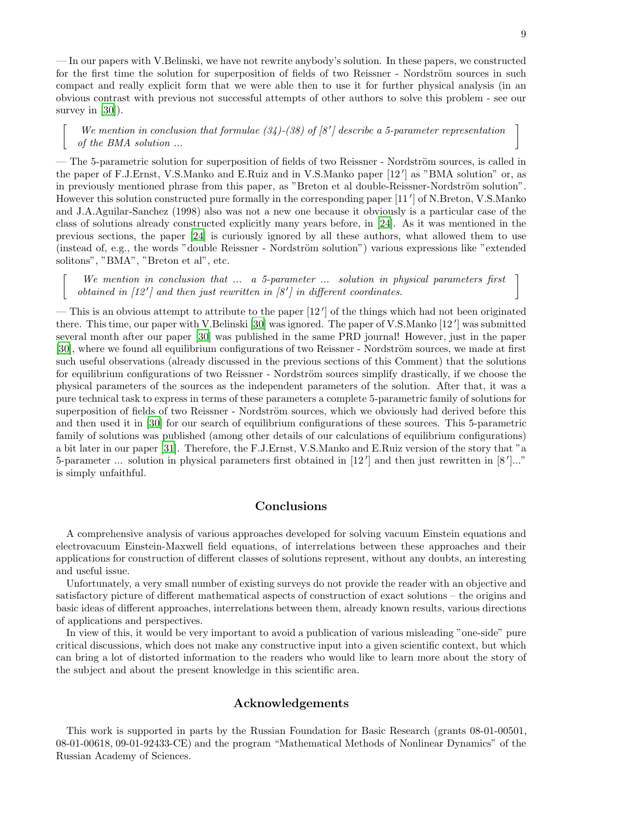— In our papers with V.Belinski, we have not rewrite anybody's solution. In these papers, we constructed for the first time the solution for superposition of fields of two Reissner - Nordström sources in such compact and really explicit form that we were able then to use it for further physical analysis (in an obvious contrast with previous not successful attempts of other authors to solve this problem - see our survey in [\[30\]](#page-10-6)).

We mention in conclusion that formulae  $(34)-(38)$  of  $[8']$  describe a 5-parameter representation of the BMA solution ...

 $\lceil$ 

 $\lceil$ 

— The 5-parametric solution for superposition of fields of two Reissner - Nordström sources, is called in the paper of F.J.Ernst, V.S.Manko and E.Ruiz and in V.S.Manko paper [12 ′ ] as "BMA solution" or, as in previously mentioned phrase from this paper, as "Breton et al double-Reissner-Nordström solution". However this solution constructed pure formally in the corresponding paper [11 ′ ] of N.Breton, V.S.Manko and J.A.Aguilar-Sanchez (1998) also was not a new one because it obviously is a particular case of the class of solutions already constructed explicitly many years before, in [\[24\]](#page-9-15). As it was mentioned in the previous sections, the paper [\[24](#page-9-15)] is curiously ignored by all these authors, what allowed them to use (instead of, e.g., the words "double Reissner - Nordström solution") various expressions like "extended solitons", "BMA", "Breton et al", etc.

We mention in conclusion that ... a 5-parameter ... solution in physical parameters first btained in  $[12']$  and then just rewritten in  $[8']$  in different coordinates. obtained in  $[12']$  and then just rewritten in  $[8']$ 

— This is an obvious attempt to attribute to the paper [12 ′ ] of the things which had not been originated there. This time, our paper with V.Belinski [\[30](#page-10-6)] was ignored. The paper of V.S.Manko [12 ′ ] was submitted several month after our paper [\[30](#page-10-6)] was published in the same PRD journal! However, just in the paper [\[30\]](#page-10-6), where we found all equilibrium configurations of two Reissner - Nordström sources, we made at first such useful observations (already discussed in the previous sections of this Comment) that the solutions for equilibrium configurations of two Reissner - Nordström sources simplify drastically, if we choose the physical parameters of the sources as the independent parameters of the solution. After that, it was a pure technical task to express in terms of these parameters a complete 5-parametric family of solutions for superposition of fields of two Reissner - Nordström sources, which we obviously had derived before this and then used it in [\[30](#page-10-6)] for our search of equilibrium configurations of these sources. This 5-parametric family of solutions was published (among other details of our calculations of equilibrium configurations) a bit later in our paper [\[31\]](#page-10-0). Therefore, the F.J.Ernst, V.S.Manko and E.Ruiz version of the story that "a 5-parameter ... solution in physical parameters first obtained in [12'] and then just rewritten in [8']..." is simply unfaithful.

### Conclusions

A comprehensive analysis of various approaches developed for solving vacuum Einstein equations and electrovacuum Einstein-Maxwell field equations, of interrelations between these approaches and their applications for construction of different classes of solutions represent, without any doubts, an interesting and useful issue.

Unfortunately, a very small number of existing surveys do not provide the reader with an objective and satisfactory picture of different mathematical aspects of construction of exact solutions – the origins and basic ideas of different approaches, interrelations between them, already known results, various directions of applications and perspectives.

In view of this, it would be very important to avoid a publication of various misleading "one-side" pure critical discussions, which does not make any constructive input into a given scientific context, but which can bring a lot of distorted information to the readers who would like to learn more about the story of the subject and about the present knowledge in this scientific area.

## Acknowledgements

This work is supported in parts by the Russian Foundation for Basic Research (grants 08-01-00501, 08-01-00618, 09-01-92433-CE) and the program "Mathematical Methods of Nonlinear Dynamics" of the Russian Academy of Sciences.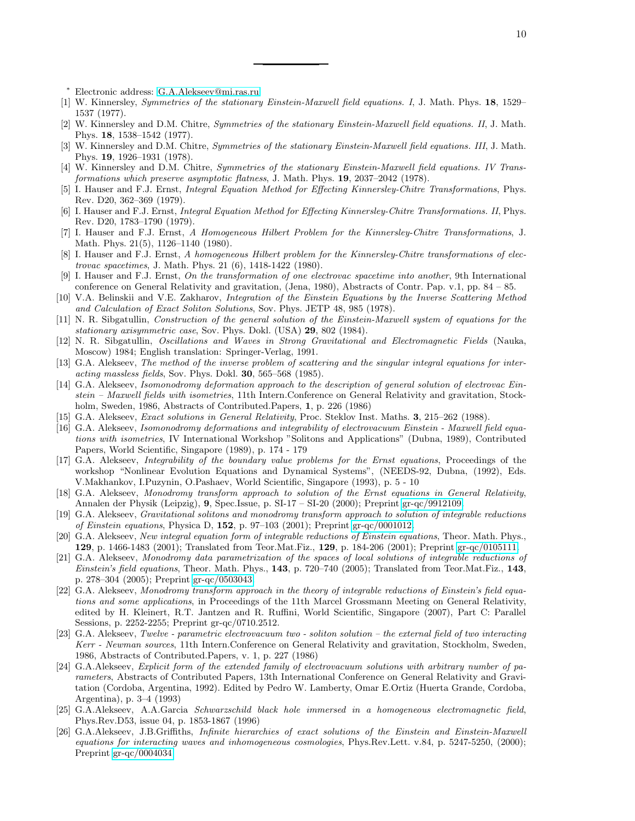<span id="page-9-0"></span><sup>∗</sup> Electronic address: [G.A.Alekseev@mi.ras.ru](mailto:G.A.Alekseev@mi.ras.ru)

- <span id="page-9-1"></span>[1] W. Kinnersley, Symmetries of the stationary Einstein-Maxwell field equations. I, J. Math. Phys. 18, 1529– 1537 (1977).
- [2] W. Kinnersley and D.M. Chitre, Symmetries of the stationary Einstein-Maxwell field equations. II, J. Math. Phys. 18, 1538–1542 (1977).
- [3] W. Kinnersley and D.M. Chitre, Symmetries of the stationary Einstein-Maxwell field equations. III, J. Math. Phys. 19, 1926–1931 (1978).
- <span id="page-9-2"></span>[4] W. Kinnersley and D.M. Chitre, Symmetries of the stationary Einstein-Maxwell field equations. IV Transformations which preserve asymptotic flatness, J. Math. Phys. 19, 2037–2042 (1978).
- <span id="page-9-3"></span>[5] I. Hauser and F.J. Ernst, Integral Equation Method for Effecting Kinnersley-Chitre Transformations, Phys. Rev. D20, 362–369 (1979).
- <span id="page-9-4"></span>[6] I. Hauser and F.J. Ernst, *Integral Equation Method for Effecting Kinnersley-Chitre Transformations. II*, Phys. Rev. D20, 1783–1790 (1979).
- <span id="page-9-5"></span>[7] I. Hauser and F.J. Ernst, A Homogeneous Hilbert Problem for the Kinnersley-Chitre Transformations, J. Math. Phys. 21(5), 1126–1140 (1980).
- [8] I. Hauser and F.J. Ernst, A homogeneous Hilbert problem for the Kinnersley-Chitre transformations of electrovac spacetimes, J. Math. Phys. 21 (6), 1418-1422 (1980).
- <span id="page-9-6"></span>[9] I. Hauser and F.J. Ernst, On the transformation of one electrovac spacetime into another, 9th International conference on General Relativity and gravitation, (Jena, 1980), Abstracts of Contr. Pap. v.1, pp. 84 – 85.
- <span id="page-9-7"></span>[10] V.A. Belinskii and V.E. Zakharov, Integration of the Einstein Equations by the Inverse Scattering Method and Calculation of Exact Soliton Solutions, Sov. Phys. JETP 48, 985 (1978).
- <span id="page-9-8"></span>[11] N. R. Sibgatullin, Construction of the general solution of the Einstein-Maxwell system of equations for the stationary axisymmetric case, Sov. Phys. Dokl. (USA) 29, 802 (1984).
- <span id="page-9-9"></span>[12] N. R. Sibgatullin, Oscillations and Waves in Strong Gravitational and Electromagnetic Fields (Nauka, Moscow) 1984; English translation: Springer-Verlag, 1991.
- <span id="page-9-10"></span>[13] G.A. Alekseev, The method of the inverse problem of scattering and the singular integral equations for interacting massless fields, Sov. Phys. Dokl. 30, 565–568 (1985).
- <span id="page-9-11"></span>[14] G.A. Alekseev, Isomonodromy deformation approach to the description of general solution of electrovac Einstein – Maxwell fields with isometries, 11th Intern.Conference on General Relativity and gravitation, Stockholm, Sweden, 1986, Abstracts of Contributed.Papers, 1, p. 226 (1986)
- <span id="page-9-17"></span>[15] G.A. Alekseev, *Exact solutions in General Relativity*, Proc. Steklov Inst. Maths. **3**, 215–262 (1988).
- [16] G.A. Alekseev, Isomonodromy deformations and integrability of electrovacuum Einstein Maxwell field equations with isometries, IV International Workshop "Solitons and Applications" (Dubna, 1989), Contributed Papers, World Scientific, Singapore (1989), p. 174 - 179
- [17] G.A. Alekseev, Integrability of the boundary value problems for the Ernst equations, Proceedings of the workshop "Nonlinear Evolution Equations and Dynamical Systems", (NEEDS-92, Dubna, (1992), Eds. V.Makhankov, I.Puzynin, O.Pashaev, World Scientific, Singapore (1993), p. 5 - 10
- [18] G.A. Alekseev, Monodromy transform approach to solution of the Ernst equations in General Relativity, Annalen der Physik (Leipzig), 9, Spec.Issue, p. SI-17 – SI-20 (2000); Preprint [gr-qc/9912109.](http://arxiv.org/abs/gr-qc/9912109)
- [19] G.A. Alekseev, Gravitational solitons and monodromy transform approach to solution of integrable reductions of Einstein equations, Physica D,  $152$ , p. 97–103 (2001); Preprint [gr-qc/0001012.](http://arxiv.org/abs/gr-qc/0001012)
- [20] G.A. Alekseev, New integral equation form of integrable reductions of Einstein equations, Theor. Math. Phys., 129, p. 1466-1483 (2001); Translated from Teor.Mat.Fiz., 129, p. 184-206 (2001); Preprint [gr-qc/0105111.](http://arxiv.org/abs/gr-qc/0105111)
- <span id="page-9-14"></span>[21] G.A. Alekseev, Monodromy data parametrization of the spaces of local solutions of integrable reductions of Einstein's field equations, Theor. Math. Phys., 143, p. 720–740 (2005); Translated from Teor.Mat.Fiz., 143, p. 278–304 (2005); Preprint [gr-qc/0503043.](http://arxiv.org/abs/gr-qc/0503043)
- <span id="page-9-12"></span>[22] G.A. Alekseev, Monodromy transform approach in the theory of integrable reductions of Einstein's field equations and some applications, in Proceedings of the 11th Marcel Grossmann Meeting on General Relativity, edited by H. Kleinert, R.T. Jantzen and R. Ruffini, World Scientific, Singapore (2007), Part C: Parallel Sessions, p. 2252-2255; Preprint gr-qc/0710.2512.
- <span id="page-9-13"></span>[23] G.A. Alekseev, Twelve - parametric electrovacuum two - soliton solution – the external field of two interacting Kerr - Newman sources, 11th Intern.Conference on General Relativity and gravitation, Stockholm, Sweden, 1986, Abstracts of Contributed.Papers, v. 1, p. 227 (1986)
- <span id="page-9-15"></span>[24] G.A.Alekseev, Explicit form of the extended family of electrovacuum solutions with arbitrary number of parameters, Abstracts of Contributed Papers, 13th International Conference on General Relativity and Gravitation (Cordoba, Argentina, 1992). Edited by Pedro W. Lamberty, Omar E.Ortiz (Huerta Grande, Cordoba, Argentina), p. 3–4 (1993)
- <span id="page-9-16"></span>[25] G.A.Alekseev, A.A.Garcia Schwarzschild black hole immersed in a homogeneous electromagnetic field, Phys.Rev.D53, issue 04, p. 1853-1867 (1996)
- [26] G.A.Alekseev, J.B.Griffiths, Infinite hierarchies of exact solutions of the Einstein and Einstein-Maxwell equations for interacting waves and inhomogeneous cosmologies, Phys.Rev.Lett. v.84, p. 5247-5250, (2000); Preprint [gr-qc/0004034](http://arxiv.org/abs/gr-qc/0004034)